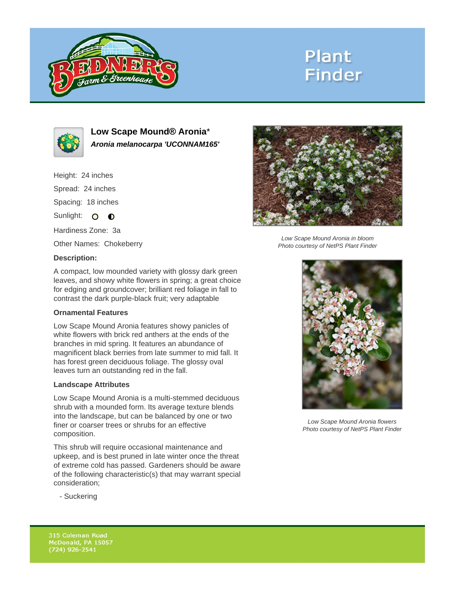

# **Plant Finder**



**Low Scape Mound® Aronia**\* **Aronia melanocarpa 'UCONNAM165'**

Height: 24 inches Spread: 24 inches Spacing: 18 inches Sunlight: O **O** Hardiness Zone: 3a

Other Names: Chokeberry



Low Scape Mound Aronia in bloom Photo courtesy of NetPS Plant Finder

### **Description:**

A compact, low mounded variety with glossy dark green leaves, and showy white flowers in spring; a great choice for edging and groundcover; brilliant red foliage in fall to contrast the dark purple-black fruit; very adaptable

#### **Ornamental Features**

Low Scape Mound Aronia features showy panicles of white flowers with brick red anthers at the ends of the branches in mid spring. It features an abundance of magnificent black berries from late summer to mid fall. It has forest green deciduous foliage. The glossy oval leaves turn an outstanding red in the fall.

#### **Landscape Attributes**

Low Scape Mound Aronia is a multi-stemmed deciduous shrub with a mounded form. Its average texture blends into the landscape, but can be balanced by one or two finer or coarser trees or shrubs for an effective composition.

This shrub will require occasional maintenance and upkeep, and is best pruned in late winter once the threat of extreme cold has passed. Gardeners should be aware of the following characteristic(s) that may warrant special consideration;



Low Scape Mound Aronia flowers Photo courtesy of NetPS Plant Finder

- Suckering

315 Coleman Road McDonald, PA 15057  $(724)$  926-2541